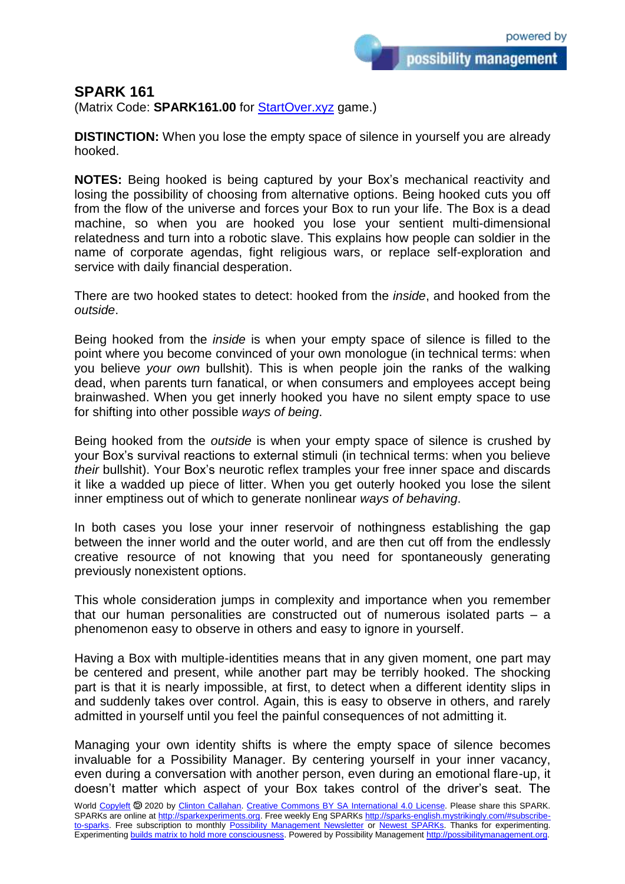possibility management

## **SPARK 161**

(Matrix Code: **SPARK161.00** for **StartOver.xyz** game.)

**DISTINCTION:** When you lose the empty space of silence in yourself you are already hooked.

**NOTES:** Being hooked is being captured by your Box's mechanical reactivity and losing the possibility of choosing from alternative options. Being hooked cuts you off from the flow of the universe and forces your Box to run your life. The Box is a dead machine, so when you are hooked you lose your sentient multi-dimensional relatedness and turn into a robotic slave. This explains how people can soldier in the name of corporate agendas, fight religious wars, or replace self-exploration and service with daily financial desperation.

There are two hooked states to detect: hooked from the *inside*, and hooked from the *outside*.

Being hooked from the *inside* is when your empty space of silence is filled to the point where you become convinced of your own monologue (in technical terms: when you believe *your own* bullshit). This is when people join the ranks of the walking dead, when parents turn fanatical, or when consumers and employees accept being brainwashed. When you get innerly hooked you have no silent empty space to use for shifting into other possible *ways of being*.

Being hooked from the *outside* is when your empty space of silence is crushed by your Box's survival reactions to external stimuli (in technical terms: when you believe *their* bullshit). Your Box's neurotic reflex tramples your free inner space and discards it like a wadded up piece of litter. When you get outerly hooked you lose the silent inner emptiness out of which to generate nonlinear *ways of behaving*.

In both cases you lose your inner reservoir of nothingness establishing the gap between the inner world and the outer world, and are then cut off from the endlessly creative resource of not knowing that you need for spontaneously generating previously nonexistent options.

This whole consideration jumps in complexity and importance when you remember that our human personalities are constructed out of numerous isolated parts – a phenomenon easy to observe in others and easy to ignore in yourself.

Having a Box with multiple-identities means that in any given moment, one part may be centered and present, while another part may be terribly hooked. The shocking part is that it is nearly impossible, at first, to detect when a different identity slips in and suddenly takes over control. Again, this is easy to observe in others, and rarely admitted in yourself until you feel the painful consequences of not admitting it.

Managing your own identity shifts is where the empty space of silence becomes invaluable for a Possibility Manager. By centering yourself in your inner vacancy, even during a conversation with another person, even during an emotional flare-up, it doesn't matter which aspect of your Box takes control of the driver's seat. The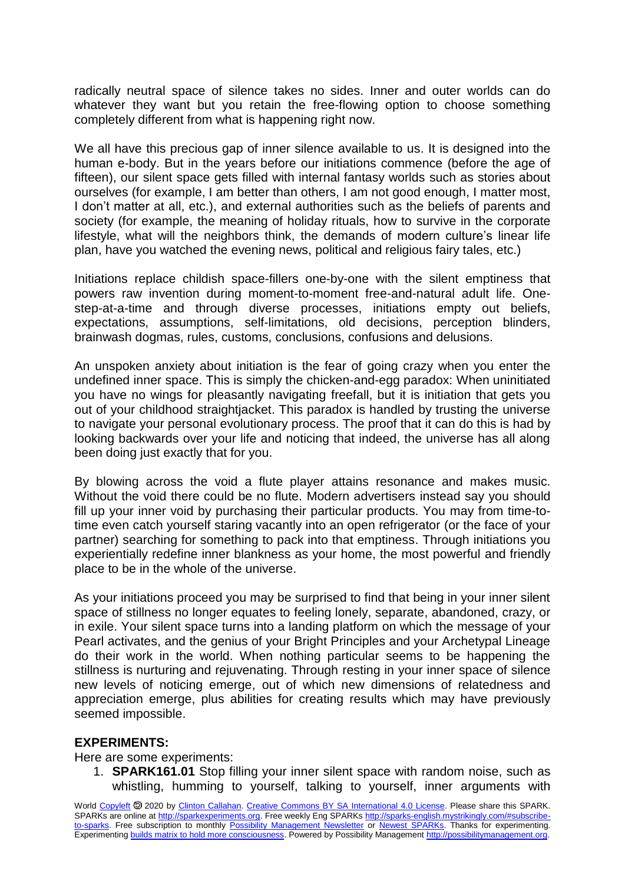radically neutral space of silence takes no sides. Inner and outer worlds can do whatever they want but you retain the free-flowing option to choose something completely different from what is happening right now.

We all have this precious gap of inner silence available to us. It is designed into the human e-body. But in the years before our initiations commence (before the age of fifteen), our silent space gets filled with internal fantasy worlds such as stories about ourselves (for example, I am better than others, I am not good enough, I matter most, I don't matter at all, etc.), and external authorities such as the beliefs of parents and society (for example, the meaning of holiday rituals, how to survive in the corporate lifestyle, what will the neighbors think, the demands of modern culture's linear life plan, have you watched the evening news, political and religious fairy tales, etc.)

Initiations replace childish space-fillers one-by-one with the silent emptiness that powers raw invention during moment-to-moment free-and-natural adult life. Onestep-at-a-time and through diverse processes, initiations empty out beliefs, expectations, assumptions, self-limitations, old decisions, perception blinders, brainwash dogmas, rules, customs, conclusions, confusions and delusions.

An unspoken anxiety about initiation is the fear of going crazy when you enter the undefined inner space. This is simply the chicken-and-egg paradox: When uninitiated you have no wings for pleasantly navigating freefall, but it is initiation that gets you out of your childhood straightjacket. This paradox is handled by trusting the universe to navigate your personal evolutionary process. The proof that it can do this is had by looking backwards over your life and noticing that indeed, the universe has all along been doing just exactly that for you.

By blowing across the void a flute player attains resonance and makes music. Without the void there could be no flute. Modern advertisers instead say you should fill up your inner void by purchasing their particular products. You may from time-totime even catch yourself staring vacantly into an open refrigerator (or the face of your partner) searching for something to pack into that emptiness. Through initiations you experientially redefine inner blankness as your home, the most powerful and friendly place to be in the whole of the universe.

As your initiations proceed you may be surprised to find that being in your inner silent space of stillness no longer equates to feeling lonely, separate, abandoned, crazy, or in exile. Your silent space turns into a landing platform on which the message of your Pearl activates, and the genius of your Bright Principles and your Archetypal Lineage do their work in the world. When nothing particular seems to be happening the stillness is nurturing and rejuvenating. Through resting in your inner space of silence new levels of noticing emerge, out of which new dimensions of relatedness and appreciation emerge, plus abilities for creating results which may have previously seemed impossible.

## **EXPERIMENTS:**

Here are some experiments:

1. **SPARK161.01** Stop filling your inner silent space with random noise, such as whistling, humming to yourself, talking to yourself, inner arguments with